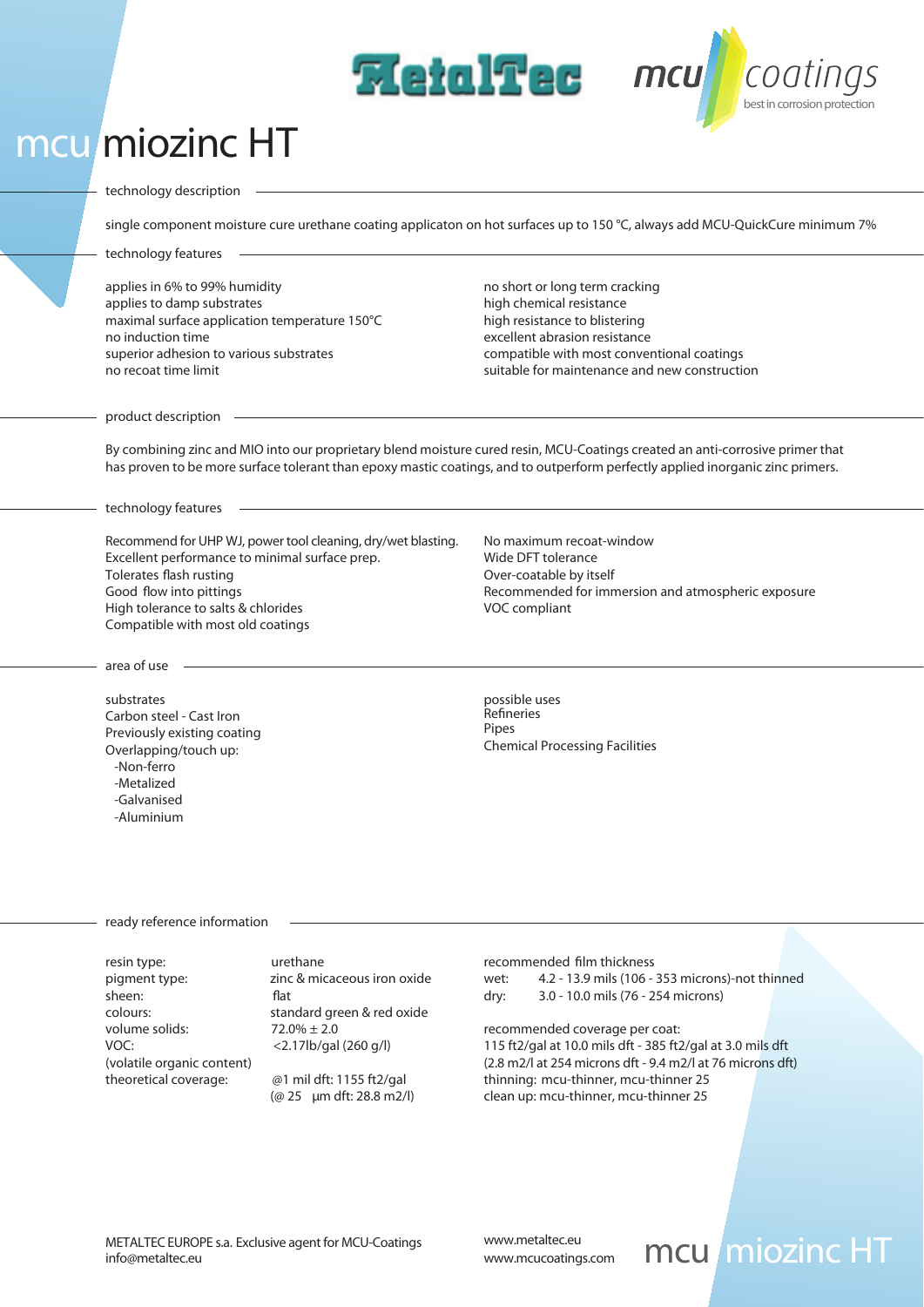| THIOZINC FIL                                                                                                                                                                                         |                                                                                                                                                                                    |                                                                                                                                                                                                                                                                                                                                                                                     |
|------------------------------------------------------------------------------------------------------------------------------------------------------------------------------------------------------|------------------------------------------------------------------------------------------------------------------------------------------------------------------------------------|-------------------------------------------------------------------------------------------------------------------------------------------------------------------------------------------------------------------------------------------------------------------------------------------------------------------------------------------------------------------------------------|
| technology description                                                                                                                                                                               |                                                                                                                                                                                    |                                                                                                                                                                                                                                                                                                                                                                                     |
|                                                                                                                                                                                                      |                                                                                                                                                                                    | single component moisture cure urethane coating applicaton on hot surfaces up to 150 °C, always add MCU-QuickCure minimum 7%                                                                                                                                                                                                                                                        |
| technology features                                                                                                                                                                                  |                                                                                                                                                                                    |                                                                                                                                                                                                                                                                                                                                                                                     |
| applies in 6% to 99% humidity<br>applies to damp substrates<br>maximal surface application temperature 150°C<br>no induction time<br>superior adhesion to various substrates<br>no recoat time limit |                                                                                                                                                                                    | no short or long term cracking<br>high chemical resistance<br>high resistance to blistering<br>excellent abrasion resistance<br>compatible with most conventional coatings<br>suitable for maintenance and new construction                                                                                                                                                         |
| product description -                                                                                                                                                                                |                                                                                                                                                                                    |                                                                                                                                                                                                                                                                                                                                                                                     |
|                                                                                                                                                                                                      |                                                                                                                                                                                    | By combining zinc and MIO into our proprietary blend moisture cured resin, MCU-Coatings created an anti-corrosive primer that<br>has proven to be more surface tolerant than epoxy mastic coatings, and to outperform perfectly applied inorganic zinc primers.                                                                                                                     |
| technology features                                                                                                                                                                                  |                                                                                                                                                                                    |                                                                                                                                                                                                                                                                                                                                                                                     |
| Excellent performance to minimal surface prep.<br>Tolerates flash rusting<br>Good flow into pittings<br>High tolerance to salts & chlorides<br>Compatible with most old coatings                     | Recommend for UHP WJ, power tool cleaning, dry/wet blasting.                                                                                                                       | No maximum recoat-window<br>Wide DFT tolerance<br>Over-coatable by itself<br>Recommended for immersion and atmospheric exposure<br>VOC compliant                                                                                                                                                                                                                                    |
| area of use                                                                                                                                                                                          |                                                                                                                                                                                    |                                                                                                                                                                                                                                                                                                                                                                                     |
| substrates<br>Carbon steel - Cast Iron<br>Previously existing coating<br>Overlapping/touch up:<br>-Non-ferro<br>-Metalized<br>-Galvanised<br>-Aluminium                                              |                                                                                                                                                                                    | possible uses<br>Refineries<br>Pipes<br><b>Chemical Processing Facilities</b>                                                                                                                                                                                                                                                                                                       |
| ready reference information                                                                                                                                                                          |                                                                                                                                                                                    |                                                                                                                                                                                                                                                                                                                                                                                     |
| resin type:<br>pigment type:<br>sheen:<br>colours:<br>volume solids:<br>VOC:<br>(volatile organic content)<br>theoretical coverage:                                                                  | urethane<br>zinc & micaceous iron oxide<br>flat<br>standard green & red oxide<br>$72.0\% \pm 2.0$<br><2.17lb/gal (260 g/l)<br>@1 mil dft: 1155 ft2/gal<br>(@ 25 µm dft: 28.8 m2/l) | recommended film thickness<br>4.2 - 13.9 mils (106 - 353 microns)-not thinned<br>wet:<br>3.0 - 10.0 mils (76 - 254 microns)<br>dry:<br>recommended coverage per coat:<br>115 ft2/gal at 10.0 mils dft - 385 ft2/gal at 3.0 mils dft<br>(2.8 m2/l at 254 microns dft - 9.4 m2/l at 76 microns dft)<br>thinning: mcu-thinner, mcu-thinner 25<br>clean up: mcu-thinner, mcu-thinner 25 |

**MatulTec** mcu

*info@metaltec.eu www.mcucoatings.com*

## *www.metaltec.eu* **mcu miozinc HT**

*bestin corrosion protection*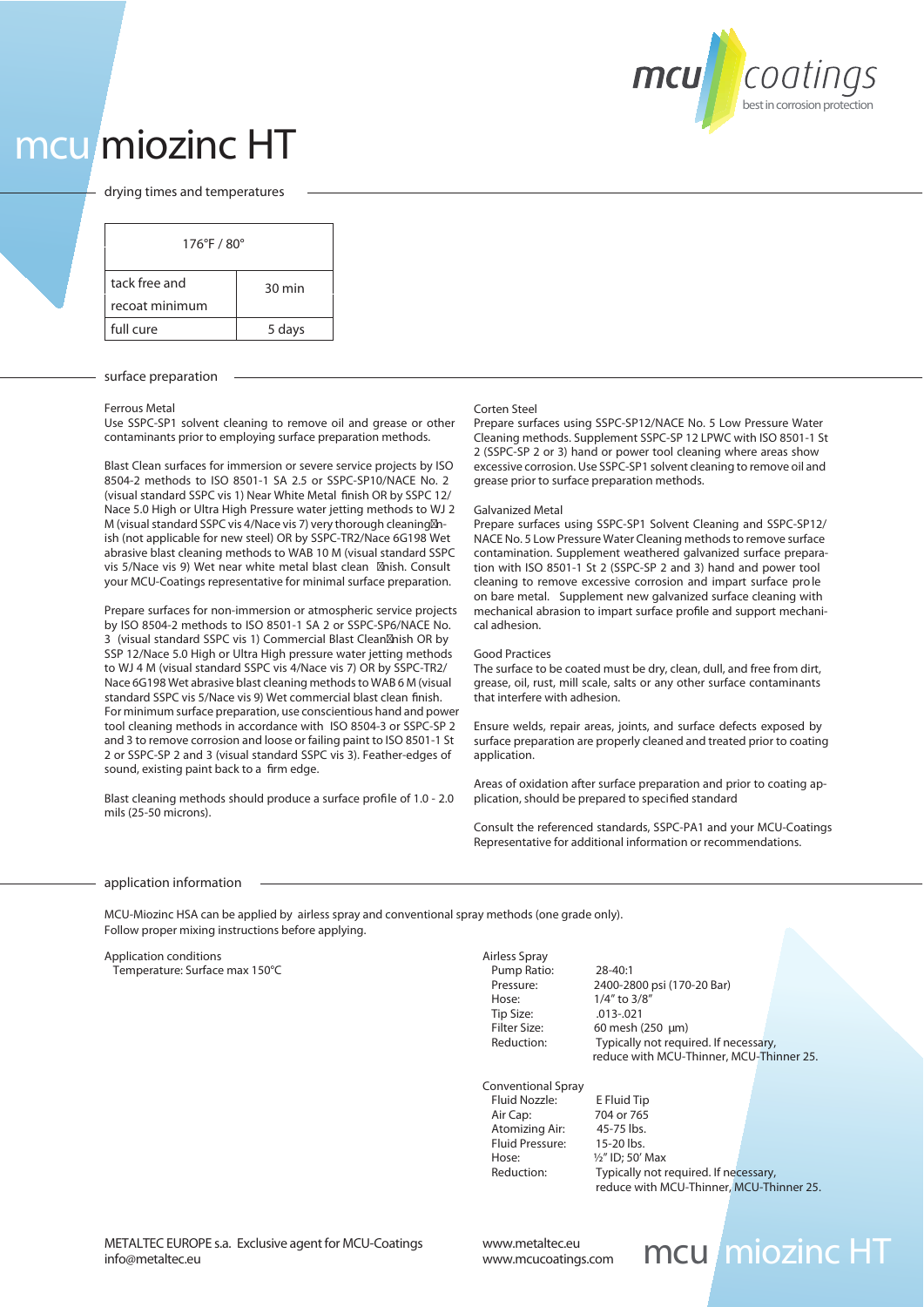

**drying times and temperatures**

| $176^{\circ}$ F / 80 $^{\circ}$ |                  |
|---------------------------------|------------------|
| tack free and                   | $30 \text{ min}$ |
| recoat minimum                  |                  |
| full cure                       | 5 days           |
|                                 |                  |

### **surface preparation**

#### *Ferrous Metal*

Use SSPC-SP1 solvent cleaning to remove oil and grease or other contaminants prior to employing surface preparation methods.

Blast Clean surfaces for immersion or severe service projects by ISO 8504-2 methods to ISO 8501-1 SA 2.5 or SSPC-SP10/NACE No. 2 (visual standard SSPC vis 1) Near White Metal finish OR by SSPC 12/ Nace 5.0 High or Ultra High Pressure water jetting methods to WJ 2 M (visual standard SSPC vis 4/Nace vis 7) very thorough cleaning nish (not applicable for new steel) OR by SSPC-TR2/Nace 6G198 Wet abrasive blast cleaning methods to WAB 10 M (visual standard SSPC vis 5/Nace vis 9) Wet near white metal blast clean nish. Consult your MCU-Coatings representative for minimal surface preparation.

Prepare surfaces for non-immersion or atmospheric service projects by ISO 8504-2 methods to ISO 8501-1 SA 2 or SSPC-SP6/NACE No. 3 (visual standard SSPC vis 1) Commercial Blast Clean nish OR by SSP 12/Nace 5.0 High or Ultra High pressure water jetting methods to WJ 4 M (visual standard SSPC vis 4/Nace vis 7) OR by SSPC-TR2/ Nace 6G198 Wet abrasive blast cleaning methods to WAB 6 M (visual standard SSPC vis 5/Nace vis 9) Wet commercial blast clean finish. For minimum surface preparation, use conscientious hand and power tool cleaning methods in accordance with ISO 8504-3 or SSPC-SP 2 and 3 to remove corrosion and loose or failing paint to ISO 8501-1 St 2 or SSPC-SP 2 and 3 (visual standard SSPC vis 3). Feather-edges of sound, existing paint back to a firm edge.

Blast cleaning methods should produce a surface profile of 1.0 - 2.0 mils (25-50 microns).

### *Corten Steel*

Prepare surfaces using SSPC-SP12/NACE No. 5 Low Pressure Water Cleaning methods. Supplement SSPC-SP 12 LPWC with ISO 8501-1 St 2 (SSPC-SP 2 or 3) hand or power tool cleaning where areas show excessive corrosion. Use SSPC-SP1 solvent cleaning to remove oil and grease prior to surface preparation methods.

### *Galvanized Metal*

Prepare surfaces using SSPC-SP1 Solvent Cleaning and SSPC-SP12/ NACE No. 5 Low Pressure Water Cleaning methods to remove surface contamination. Supplement weathered galvanized surface preparation with ISO 8501-1 St 2 (SSPC-SP 2 and 3) hand and power tool cleaning to remove excessive corrosion and impart surface prole on bare metal. Supplement new galvanized surface cleaning with mechanical abrasion to impart surface profile and support mechanical adhesion.

### *Good Practices*

The surface to be coated must be dry, clean, dull, and free from dirt, grease, oil, rust, mill scale, salts or any other surface contaminants that interfere with adhesion.

Ensure welds, repair areas, joints, and surface defects exposed by surface preparation are properly cleaned and treated prior to coating application.

Areas of oxidation after surface preparation and prior to coating application, should be prepared to specified standard

Consult the referenced standards, SSPC-PA1 and your MCU-Coatings Representative for additional information or recommendations.

### **application information**

MCU-Miozinc HSA can be applied by airless spray and conventional spray methods (one grade only). Follow proper mixing instructions before applying.

### *Application conditions*

Temperature: Surface max 150°C

### *Airless Spray*  Pump Ratio: 28-40:1 Tip Size: .013-.021

Pressure: 2400-2800 psi (170-20 Bar)<br>Hose: 1/4" to 3/8"  $1/4''$  to  $3/8''$ Filter Size: 60 mesh (250 μm)<br>Reduction: Typically not requi Typically not required. If necessary, reduce with MCU-Thinner, MCU-Thinner 25.

*Conventional Spray* Fluid Nozzle: E Fluid Tip<br>Air Cap: 704 or 765 Atomizing Air: 45-75 lbs.<br>Fluid Pressure: 15-20 lbs. Fluid Pressure: Hose: ½" ID; 50' Max

704 or 765<br>45-75 lbs. Reduction: Typically not required. If necessary, reduce with MCU-Thinner, MCU-Thinner 25.

*www.mcucoatings.com*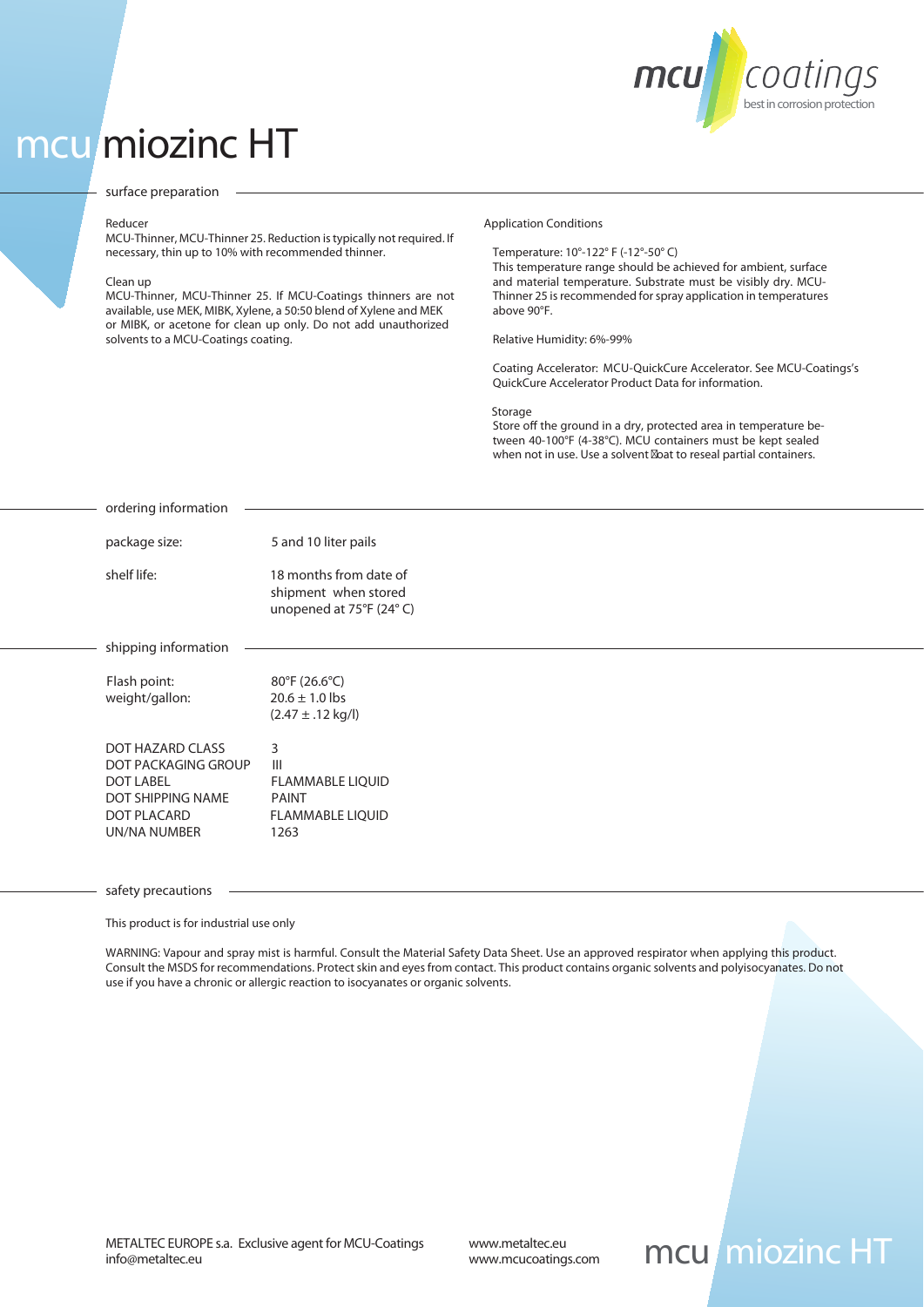

### **surface preparation**

#### *Reducer*

MCU-Thinner, MCU-Thinner 25. Reduction istypically not required. If necessary, thin up to 10% with recommended thinner.

### *Clean up*

MCU-Thinner, MCU-Thinner 25. If MCU-Coatings thinners are not available, use MEK, MIBK, Xylene, a 50:50 blend of Xylene and MEK or MIBK, or acetone for clean up only. Do not add unauthorized solvents to a MCU-Coatings coating.

### *Application Conditions*

Temperature: 10°-122° F (-12°-50° C) This temperature range should be achieved for ambient, surface and material temperature. Substrate must be visibly dry. MCU-Thinner 25 is recommended for spray application in temperatures above 90°F.

Relative Humidity: 6%-99%

Coating Accelerator: MCU-QuickCure Accelerator. See MCU-Coatings's QuickCure Accelerator Product Data for information.

*Storage*

Store off the ground in a dry, protected area in temperature between 40-100°F (4-38°C). MCU containers must be kept sealed when not in use. Use a solvent oat to reseal partial containers.

| - ordering information                                                                                                 |                                                                                           |
|------------------------------------------------------------------------------------------------------------------------|-------------------------------------------------------------------------------------------|
|                                                                                                                        |                                                                                           |
| package size:                                                                                                          | 5 and 10 liter pails                                                                      |
| shelf life:                                                                                                            | 18 months from date of<br>shipment when stored<br>unopened at 75°F (24°C)                 |
| - shipping information                                                                                                 |                                                                                           |
| Flash point:<br>weight/gallon:                                                                                         | $80^{\circ}$ F (26.6 $^{\circ}$ C)<br>$20.6 \pm 1.0$ lbs<br>$(2.47 \pm .12 \text{ kg/l})$ |
| <b>DOT HAZARD CLASS</b><br>DOT PACKAGING GROUP<br><b>DOT LABEL</b><br>DOT SHIPPING NAME<br>DOT PLACARD<br>UN/NA NUMBER | 3<br>III<br><b>FLAMMABLE LIQUID</b><br><b>PAINT</b><br><b>FLAMMABLE LIQUID</b><br>1263    |

### **safety precautions**

This product is for industrial use only

WARNING: Vapour and spray mist is harmful. Consult the Material Safety Data Sheet. Use an approved respirator when applying this product. Consult the MSDS for recommendations. Protect skin and eyes from contact. This product contains organic solvents and polyisocyanates. Do not use if you have a chronic or allergic reaction to isocyanates or organic solvents.

*www.mcucoatings.com*

### *mcu miozinc HT*